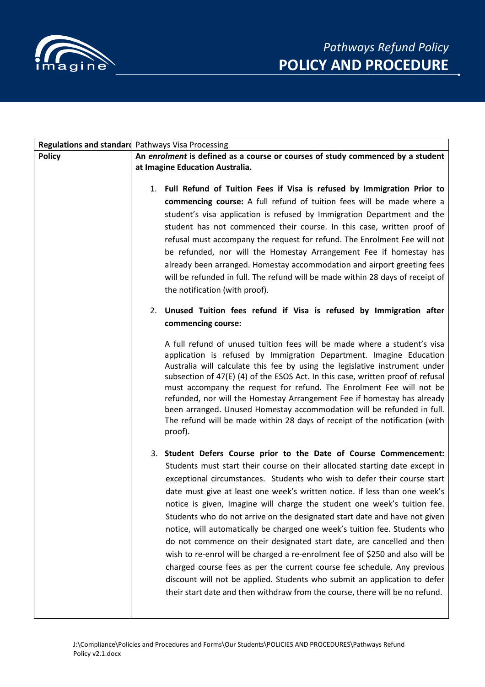

|               | Regulations and standard Pathways Visa Processing                                                                                                                                                                                                                                                                                                                                                                                                                                                                                                                                                                                                                                                                                                                                                                                                                                                                                                                                                                                                                                                                                                                                                                                                                                                                                                                                         |
|---------------|-------------------------------------------------------------------------------------------------------------------------------------------------------------------------------------------------------------------------------------------------------------------------------------------------------------------------------------------------------------------------------------------------------------------------------------------------------------------------------------------------------------------------------------------------------------------------------------------------------------------------------------------------------------------------------------------------------------------------------------------------------------------------------------------------------------------------------------------------------------------------------------------------------------------------------------------------------------------------------------------------------------------------------------------------------------------------------------------------------------------------------------------------------------------------------------------------------------------------------------------------------------------------------------------------------------------------------------------------------------------------------------------|
| <b>Policy</b> | An enrolment is defined as a course or courses of study commenced by a student                                                                                                                                                                                                                                                                                                                                                                                                                                                                                                                                                                                                                                                                                                                                                                                                                                                                                                                                                                                                                                                                                                                                                                                                                                                                                                            |
|               | at Imagine Education Australia.                                                                                                                                                                                                                                                                                                                                                                                                                                                                                                                                                                                                                                                                                                                                                                                                                                                                                                                                                                                                                                                                                                                                                                                                                                                                                                                                                           |
|               | 1. Full Refund of Tuition Fees if Visa is refused by Immigration Prior to<br>commencing course: A full refund of tuition fees will be made where a<br>student's visa application is refused by Immigration Department and the<br>student has not commenced their course. In this case, written proof of<br>refusal must accompany the request for refund. The Enrolment Fee will not<br>be refunded, nor will the Homestay Arrangement Fee if homestay has<br>already been arranged. Homestay accommodation and airport greeting fees<br>will be refunded in full. The refund will be made within 28 days of receipt of<br>the notification (with proof).<br>2. Unused Tuition fees refund if Visa is refused by Immigration after<br>commencing course:<br>A full refund of unused tuition fees will be made where a student's visa<br>application is refused by Immigration Department. Imagine Education<br>Australia will calculate this fee by using the legislative instrument under<br>subsection of 47(E) (4) of the ESOS Act. In this case, written proof of refusal<br>must accompany the request for refund. The Enrolment Fee will not be<br>refunded, nor will the Homestay Arrangement Fee if homestay has already<br>been arranged. Unused Homestay accommodation will be refunded in full.<br>The refund will be made within 28 days of receipt of the notification (with |
|               | proof).<br>3. Student Defers Course prior to the Date of Course Commencement:                                                                                                                                                                                                                                                                                                                                                                                                                                                                                                                                                                                                                                                                                                                                                                                                                                                                                                                                                                                                                                                                                                                                                                                                                                                                                                             |
|               | Students must start their course on their allocated starting date except in<br>exceptional circumstances. Students who wish to defer their course start<br>date must give at least one week's written notice. If less than one week's<br>notice is given, Imagine will charge the student one week's tuition fee.<br>Students who do not arrive on the designated start date and have not given<br>notice, will automatically be charged one week's tuition fee. Students who<br>do not commence on their designated start date, are cancelled and then<br>wish to re-enrol will be charged a re-enrolment fee of \$250 and also will be<br>charged course fees as per the current course fee schedule. Any previous<br>discount will not be applied. Students who submit an application to defer<br>their start date and then withdraw from the course, there will be no refund.                                                                                                                                                                                                                                                                                                                                                                                                                                                                                                         |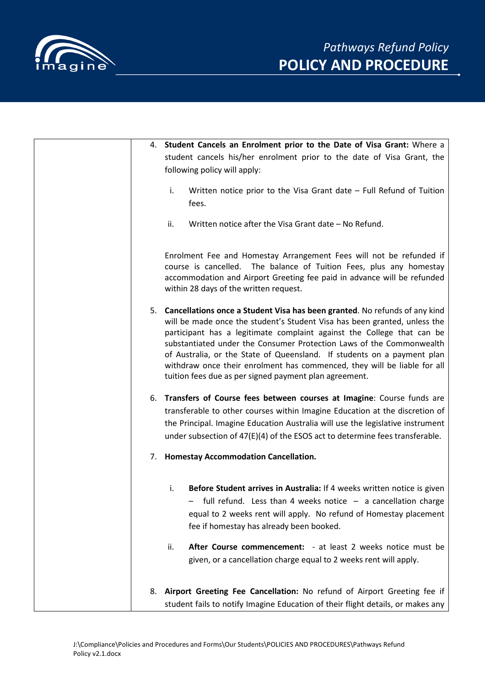

| 4. Student Cancels an Enrolment prior to the Date of Visa Grant: Where a                                                                                                                                                                                                                                                                                                                                                                                                                                                      |
|-------------------------------------------------------------------------------------------------------------------------------------------------------------------------------------------------------------------------------------------------------------------------------------------------------------------------------------------------------------------------------------------------------------------------------------------------------------------------------------------------------------------------------|
| student cancels his/her enrolment prior to the date of Visa Grant, the                                                                                                                                                                                                                                                                                                                                                                                                                                                        |
| following policy will apply:                                                                                                                                                                                                                                                                                                                                                                                                                                                                                                  |
| i.<br>Written notice prior to the Visa Grant date $-$ Full Refund of Tuition                                                                                                                                                                                                                                                                                                                                                                                                                                                  |
| fees.                                                                                                                                                                                                                                                                                                                                                                                                                                                                                                                         |
|                                                                                                                                                                                                                                                                                                                                                                                                                                                                                                                               |
| Written notice after the Visa Grant date – No Refund.<br>ii.                                                                                                                                                                                                                                                                                                                                                                                                                                                                  |
| Enrolment Fee and Homestay Arrangement Fees will not be refunded if<br>course is cancelled. The balance of Tuition Fees, plus any homestay<br>accommodation and Airport Greeting fee paid in advance will be refunded<br>within 28 days of the written request.                                                                                                                                                                                                                                                               |
| 5. Cancellations once a Student Visa has been granted. No refunds of any kind<br>will be made once the student's Student Visa has been granted, unless the<br>participant has a legitimate complaint against the College that can be<br>substantiated under the Consumer Protection Laws of the Commonwealth<br>of Australia, or the State of Queensland. If students on a payment plan<br>withdraw once their enrolment has commenced, they will be liable for all<br>tuition fees due as per signed payment plan agreement. |
| 6. Transfers of Course fees between courses at Imagine: Course funds are                                                                                                                                                                                                                                                                                                                                                                                                                                                      |
| transferable to other courses within Imagine Education at the discretion of                                                                                                                                                                                                                                                                                                                                                                                                                                                   |
| the Principal. Imagine Education Australia will use the legislative instrument<br>under subsection of $47(E)(4)$ of the ESOS act to determine fees transferable.                                                                                                                                                                                                                                                                                                                                                              |
| 7. Homestay Accommodation Cancellation.                                                                                                                                                                                                                                                                                                                                                                                                                                                                                       |
| Before Student arrives in Australia: If 4 weeks written notice is given<br>i.<br>- full refund. Less than 4 weeks notice - a cancellation charge<br>equal to 2 weeks rent will apply. No refund of Homestay placement<br>fee if homestay has already been booked.                                                                                                                                                                                                                                                             |
| After Course commencement: - at least 2 weeks notice must be<br>ii.<br>given, or a cancellation charge equal to 2 weeks rent will apply.                                                                                                                                                                                                                                                                                                                                                                                      |
| 8. Airport Greeting Fee Cancellation: No refund of Airport Greeting fee if<br>student fails to notify Imagine Education of their flight details, or makes any                                                                                                                                                                                                                                                                                                                                                                 |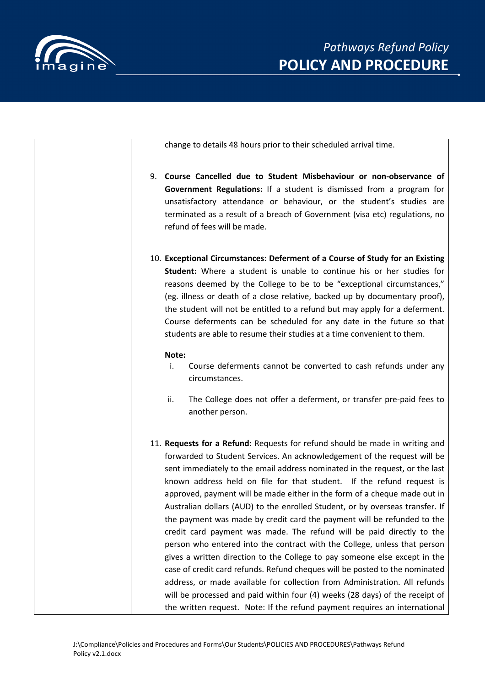

the written request. Note: If the refund payment requires an international